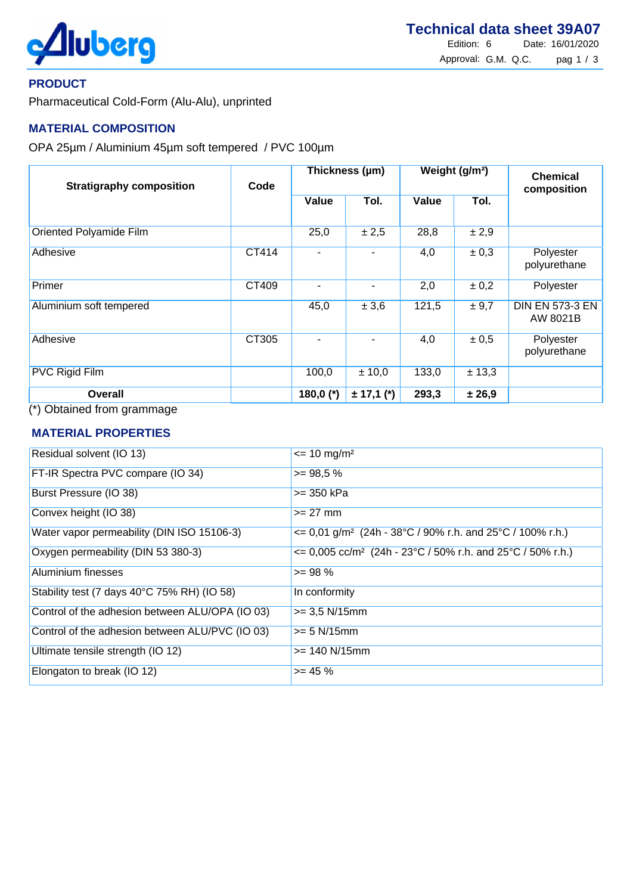

### **PRODUCT**

Pharmaceutical Cold-Form (Alu-Alu), unprinted

# **MATERIAL COMPOSITION**

OPA 25µm / Aluminium 45µm soft tempered / PVC 100µm

| <b>Stratigraphy composition</b>                                 | Code  | Thickness (µm) |                | Weight (g/m <sup>2</sup> ) |           | <b>Chemical</b><br>composition     |
|-----------------------------------------------------------------|-------|----------------|----------------|----------------------------|-----------|------------------------------------|
|                                                                 |       | <b>Value</b>   | Tol.           | Value                      | Tol.      |                                    |
| Oriented Polyamide Film                                         |       | 25,0           | ± 2,5          | 28,8                       | $\pm 2,9$ |                                    |
| <b>Adhesive</b>                                                 | CT414 |                |                | 4,0                        | $\pm 0.3$ | Polyester<br>polyurethane          |
| Primer                                                          | CT409 |                | ۰              | 2,0                        | $\pm 0.2$ | Polyester                          |
| Aluminium soft tempered                                         |       | 45,0           | $\pm 3,6$      | 121,5                      | $\pm 9.7$ | <b>DIN EN 573-3 EN</b><br>AW 8021B |
| <b>Adhesive</b>                                                 | CT305 |                |                | 4,0                        | $\pm 0.5$ | Polyester<br>polyurethane          |
| <b>PVC Rigid Film</b>                                           |       | 100,0          | ± 10,0         | 133,0                      | ± 13,3    |                                    |
| <b>Overall</b><br>$(4)$ $\bigcap$ $\bigcap$ $\bigcap$ $\bigcap$ |       | 180,0 $(*)$    | $\pm$ 17,1 (*) | 293,3                      | ± 26,9    |                                    |

(\*) Obtained from grammage

### **MATERIAL PROPERTIES**

| Residual solvent (IO 13)                        | $\epsilon$ = 10 mg/m <sup>2</sup>                                                |
|-------------------------------------------------|----------------------------------------------------------------------------------|
| FT-IR Spectra PVC compare (IO 34)               | $>= 98.5 %$                                                                      |
| Burst Pressure (IO 38)                          | >= 350 kPa                                                                       |
| Convex height (IO 38)                           | $>= 27$ mm                                                                       |
| Water vapor permeability (DIN ISO 15106-3)      | $\epsilon$ = 0,01 g/m <sup>2</sup> (24h - 38°C / 90% r.h. and 25°C / 100% r.h.)  |
| Oxygen permeability (DIN 53 380-3)              | $\epsilon$ = 0,005 cc/m <sup>2</sup> (24h - 23°C / 50% r.h. and 25°C / 50% r.h.) |
| Aluminium finesses                              | $>= 98 \%$                                                                       |
| Stability test (7 days 40°C 75% RH) (IO 58)     | In conformity                                                                    |
| Control of the adhesion between ALU/OPA (IO 03) | $>= 3.5$ N/15mm                                                                  |
| Control of the adhesion between ALU/PVC (IO 03) | $>= 5 N/15mm$                                                                    |
| Ultimate tensile strength (IO 12)               | $>= 140 N/15mm$                                                                  |
| Elongaton to break (IO 12)                      | $>= 45 \%$                                                                       |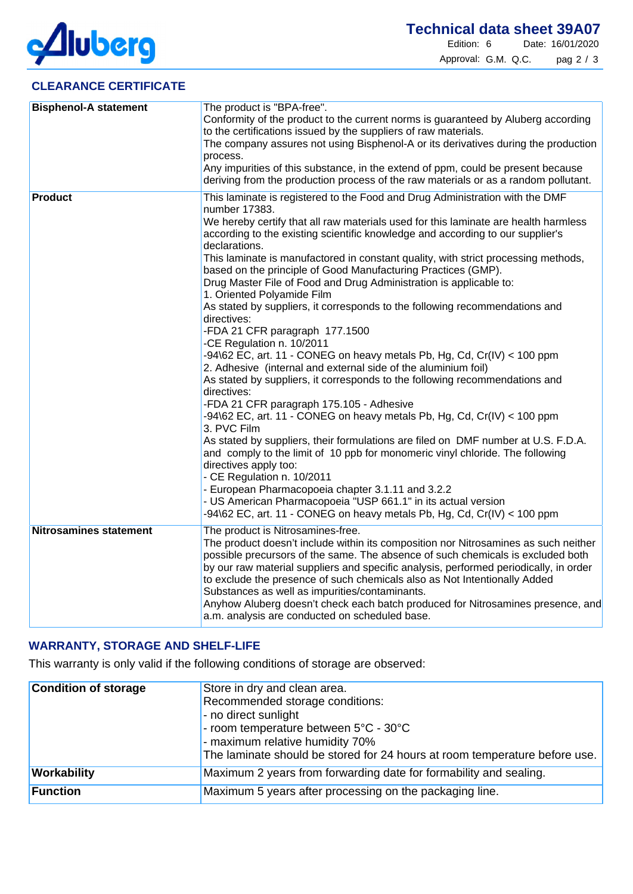

# **CLEARANCE CERTIFICATE**

| <b>Bisphenol-A statement</b>  | The product is "BPA-free".<br>Conformity of the product to the current norms is guaranteed by Aluberg according<br>to the certifications issued by the suppliers of raw materials.<br>The company assures not using Bisphenol-A or its derivatives during the production<br>process.<br>Any impurities of this substance, in the extend of ppm, could be present because<br>deriving from the production process of the raw materials or as a random pollutant.                                                                                                                                                                                                                                                                                                                                                                                                                                                                                                                                                                                                                                                                                                                                                                                                                                                                                                                                                                                                                                                                |
|-------------------------------|--------------------------------------------------------------------------------------------------------------------------------------------------------------------------------------------------------------------------------------------------------------------------------------------------------------------------------------------------------------------------------------------------------------------------------------------------------------------------------------------------------------------------------------------------------------------------------------------------------------------------------------------------------------------------------------------------------------------------------------------------------------------------------------------------------------------------------------------------------------------------------------------------------------------------------------------------------------------------------------------------------------------------------------------------------------------------------------------------------------------------------------------------------------------------------------------------------------------------------------------------------------------------------------------------------------------------------------------------------------------------------------------------------------------------------------------------------------------------------------------------------------------------------|
| <b>Product</b>                | This laminate is registered to the Food and Drug Administration with the DMF<br>number 17383.<br>We hereby certify that all raw materials used for this laminate are health harmless<br>according to the existing scientific knowledge and according to our supplier's<br>declarations.<br>This laminate is manufactored in constant quality, with strict processing methods,<br>based on the principle of Good Manufacturing Practices (GMP).<br>Drug Master File of Food and Drug Administration is applicable to:<br>1. Oriented Polyamide Film<br>As stated by suppliers, it corresponds to the following recommendations and<br>directives:<br>-FDA 21 CFR paragraph 177.1500<br>-CE Regulation n. 10/2011<br>-94\62 EC, art. 11 - CONEG on heavy metals Pb, Hg, Cd, Cr(IV) < 100 ppm<br>2. Adhesive (internal and external side of the aluminium foil)<br>As stated by suppliers, it corresponds to the following recommendations and<br>directives:<br>-FDA 21 CFR paragraph 175.105 - Adhesive<br>$-94\$ EC, art. 11 - CONEG on heavy metals Pb, Hg, Cd, Cr(IV) < 100 ppm<br>3. PVC Film<br>As stated by suppliers, their formulations are filed on DMF number at U.S. F.D.A.<br>and comply to the limit of 10 ppb for monomeric vinyl chloride. The following<br>directives apply too:<br>- CE Regulation n. 10/2011<br>- European Pharmacopoeia chapter 3.1.11 and 3.2.2<br>- US American Pharmacopoeia "USP 661.1" in its actual version<br>-94\62 EC, art. 11 - CONEG on heavy metals Pb, Hg, Cd, Cr(IV) < 100 ppm |
| <b>Nitrosamines statement</b> | The product is Nitrosamines-free.<br>The product doesn't include within its composition nor Nitrosamines as such neither<br>possible precursors of the same. The absence of such chemicals is excluded both<br>by our raw material suppliers and specific analysis, performed periodically, in order<br>to exclude the presence of such chemicals also as Not Intentionally Added<br>Substances as well as impurities/contaminants.<br>Anyhow Aluberg doesn't check each batch produced for Nitrosamines presence, and<br>a.m. analysis are conducted on scheduled base.                                                                                                                                                                                                                                                                                                                                                                                                                                                                                                                                                                                                                                                                                                                                                                                                                                                                                                                                                       |

# **WARRANTY, STORAGE AND SHELF-LIFE**

This warranty is only valid if the following conditions of storage are observed:

| <b>Condition of storage</b> | Store in dry and clean area.<br>Recommended storage conditions:<br>- no direct sunlight<br>- room temperature between $5^{\circ}$ C - 30 $^{\circ}$ C<br>- maximum relative humidity 70%<br>The laminate should be stored for 24 hours at room temperature before use. |
|-----------------------------|------------------------------------------------------------------------------------------------------------------------------------------------------------------------------------------------------------------------------------------------------------------------|
| Workability                 | Maximum 2 years from forwarding date for formability and sealing.                                                                                                                                                                                                      |
| Function                    | Maximum 5 years after processing on the packaging line.                                                                                                                                                                                                                |